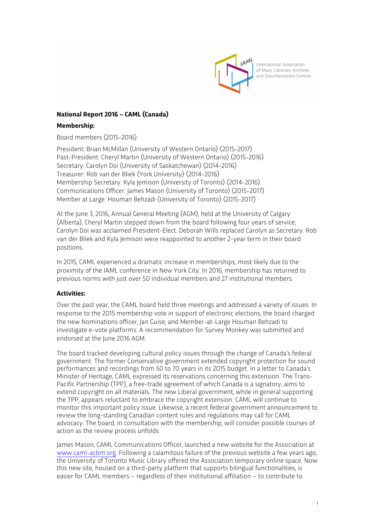

# **National Report 2016 – CAML (Canada)**

#### **Membership:**

Board members (2015-2016):

President: Brian McMillan (University of Western Ontario) (2015-2017) Past-President: Cheryl Martin (University of Western Ontario) (2015-2016) Secretary: Carolyn Doi (University of Saskatchewan) (2014-2016) Treasurer: Rob van der Bliek (York University) (2014-2016) Membership Secretary: Kyla Jemison (University of Toronto) (2014-2016) Communications Officer: James Mason (University of Toronto) (2015-2017) Member at Large: Houman Behzadi (University of Toronto) (2015-2017)

At the June 3, 2016, Annual General Meeting (AGM), held at the University of Calgary (Alberta), Cheryl Martin stepped down from the board following four years of service; Carolyn Doi was acclaimed President-Elect. Deborah Wills replaced Carolyn as Secretary. Rob van der Bliek and Kyla Jemison were reappointed to another 2-year term in their board positions.

In 2015, CAML experienced a dramatic increase in memberships, most likely due to the proximity of the IAML conference in New York City. In 2016, membership has returned to previous norms with just over 50 individual members and 27 institutional members.

### **Activities:**

Over the past year, the CAML board held three meetings and addressed a variety of issues. In response to the 2015 membership vote in support of electronic elections, the board charged the new Nominations officer, Jan Guise, and Member-at-Large Houman Behzadi to investigate e-vote platforms. A recommendation for Survey Monkey was submitted and endorsed at the June 2016 AGM.

The board tracked developing cultural policy issues through the change of Canada's federal government. The former Conservative government extended copyright protection for sound performances and recordings from 50 to 70 years in its 2015 budget. In a letter to Canada's Minister of Heritage, CAML expressed its reservations concerning this extension. The Trans-Pacific Partnership (TPP), a free-trade agreement of which Canada is a signatory, aims to extend copyright on all materials. The new Liberal government, while in general supporting the TPP, appears reluctant to embrace the copyright extension. CAML will continue to monitor this important policy issue. Likewise, a recent federal government announcement to review the long-standing Canadian content rules and regulations may call for CAML advocacy. The board, in consultation with the membership, will consider possible courses of action as the review process unfolds.

James Mason, CAML Communications Officer, launched a new website for the Association at www.caml-acbm.org. Following a calamitous failure of the previous website a few years ago, the University of Toronto Music Library offered the Association temporary online space. Now this new site, housed on a third-party platform that supports bilingual functionalities, is easier for CAML members – regardless of their institutional affiliation – to contribute to.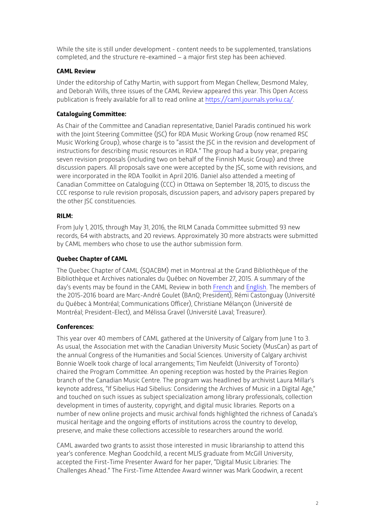While the site is still under development - content needs to be supplemented, translations completed, and the structure re-examined – a major first step has been achieved.

# **CAML Review**

Under the editorship of Cathy Martin, with support from Megan Chellew, Desmond Maley, and Deborah Wills, three issues of the CAML Review appeared this year. This Open Access publication is freely available for all to read online at https://caml.journals.yorku.ca/.

# **Cataloguing Committee:**

As Chair of the Committee and Canadian representative, Daniel Paradis continued his work with the Joint Steering Committee (JSC) for RDA Music Working Group (now renamed RSC Music Working Group), whose charge is to "assist the JSC in the revision and development of instructions for describing music resources in RDA." The group had a busy year, preparing seven revision proposals (including two on behalf of the Finnish Music Group) and three discussion papers. All proposals save one were accepted by the JSC, some with revisions, and were incorporated in the RDA Toolkit in April 2016. Daniel also attended a meeting of Canadian Committee on Cataloguing (CCC) in Ottawa on September 18, 2015, to discuss the CCC response to rule revision proposals, discussion papers, and advisory papers prepared by the other JSC constituencies.

### **RILM:**

From July 1, 2015, through May 31, 2016, the RILM Canada Committee submitted 93 new records, 64 with abstracts, and 20 reviews. Approximately 30 more abstracts were submitted by CAML members who chose to use the author submission form.

### **Quebec Chapter of CAML**

The Quebec Chapter of CAML (SQACBM) met in Montreal at the Grand Bibliothèque of the Bibliothèque et Archives nationales du Québec on November 27, 2015. A summary of the day's events may be found in the CAML Review in both French and English. The members of the 2015-2016 board are Marc-André Goulet (BAnQ; President), Rémi Castonguay (Université du Québec à Montréal; Communications Officer), Christiane Mélançon (Université de Montréal; President-Elect), and Mélissa Gravel (Université Laval; Treasurer).

### **Conferences:**

This year over 40 members of CAML gathered at the University of Calgary from June 1 to 3. As usual, the Association met with the Canadian University Music Society (MusCan) as part of the annual Congress of the Humanities and Social Sciences. University of Calgary archivist Bonnie Woelk took charge of local arrangements; Tim Neufeldt (University of Toronto) chaired the Program Committee. An opening reception was hosted by the Prairies Region branch of the Canadian Music Centre. The program was headlined by archivist Laura Millar's keynote address, "If Sibelius Had Sibelius: Considering the Archives of Music in a Digital Age," and touched on such issues as subject specialization among library professionals, collection development in times of austerity, copyright, and digital music libraries. Reports on a number of new online projects and music archival fonds highlighted the richness of Canada's musical heritage and the ongoing efforts of institutions across the country to develop, preserve, and make these collections accessible to researchers around the world.

CAML awarded two grants to assist those interested in music librarianship to attend this year's conference. Meghan Goodchild, a recent MLIS graduate from McGill University, accepted the First-Time Presenter Award for her paper, "Digital Music Libraries: The Challenges Ahead." The First-Time Attendee Award winner was Mark Goodwin, a recent